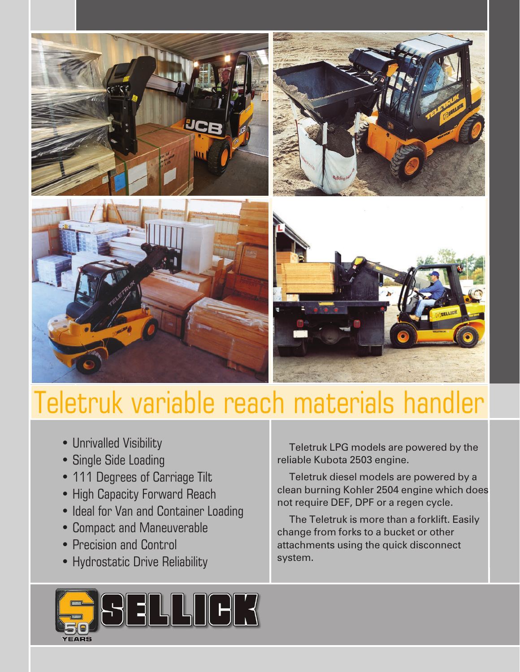

# Teletruk variable reach materials handler

- Unrivalled Visibility
- Single Side Loading
- 111 Degrees of Carriage Tilt
- High Capacity Forward Reach
- Ideal for Van and Container Loading
- Compact and Maneuverable
- Precision and Control
- Hydrostatic Drive Reliability

**HIFR** 

 Teletruk LPG models are powered by the reliable Kubota 2503 engine.

 Teletruk diesel models are powered by a clean burning Kohler 2504 engine which does not require DEF, DPF or a regen cycle.

 The Teletruk is more than a forklift. Easily change from forks to a bucket or other attachments using the quick disconnect system.